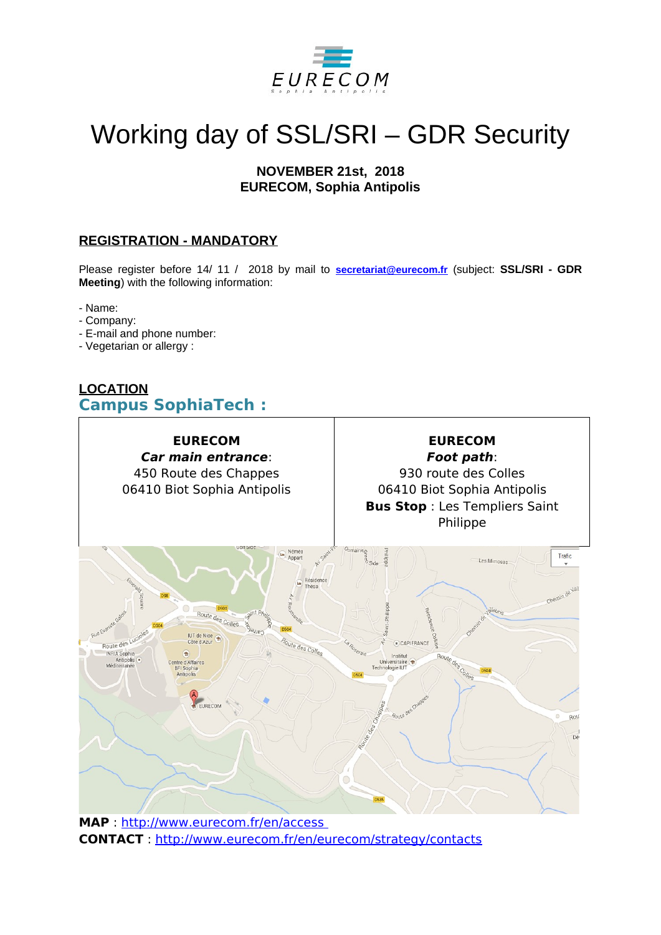

# Working day of SSL/SRI – GDR Security

# **NOVEMBER 21st, 2018 EURECOM, Sophia Antipolis**

# **REGISTRATION - MANDATORY**

Please register before 14/ 11 / 2018 by mail to **[secretariat@eurecom.fr](mailto:secretariat@eurecom.fr)** (subject: **SSL/SRI - GDR Meeting**) with the following information:

- Name:

- Company:
- E-mail and phone number:
- Vegetarian or allergy :

# **LOCATION Campus SophiaTech :**



**MAP** :<http://www.eurecom.fr/en/access> **CONTACT** :<http://www.eurecom.fr/en/eurecom/strategy/contacts>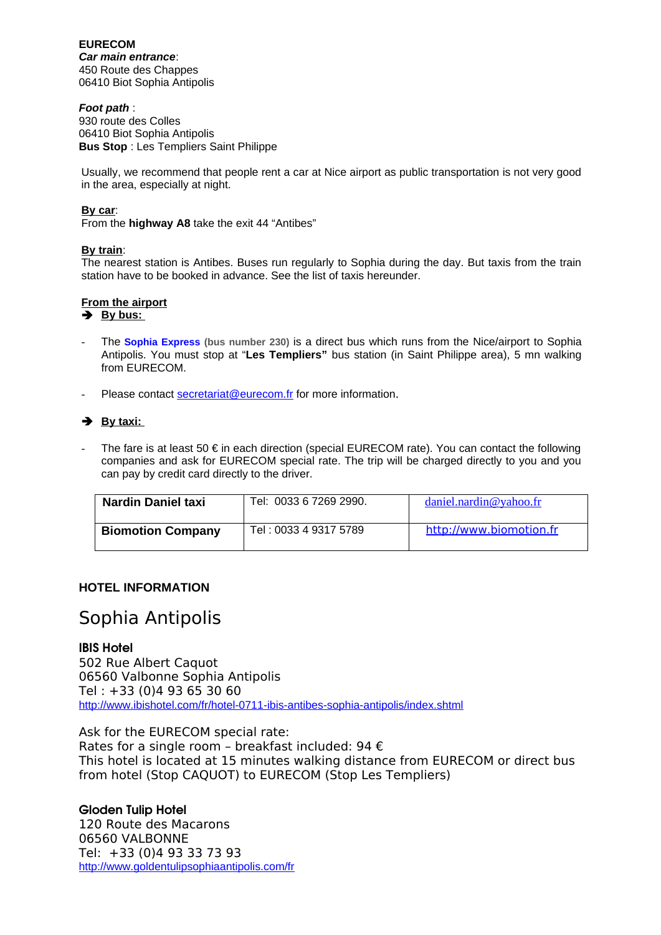**EURECOM** *Car main entrance*: 450 Route des Chappes 06410 Biot Sophia Antipolis

#### *Foot path* :

930 route des Colles 06410 Biot Sophia Antipolis **Bus Stop** : Les Templiers Saint Philippe

Usually, we recommend that people rent a car at Nice airport as public transportation is not very good in the area, especially at night.

#### **By car**:

From the **highway A8** take the exit 44 "Antibes"

#### **By train**:

The nearest station is Antibes. Buses run regularly to Sophia during the day. But taxis from the train station have to be booked in advance. See the list of taxis hereunder.

#### **From the airport**

#### $\rightarrow$  By bus:

- The **[Sophia Express](http://www.cg06.fr/transport/lignes-tam/230.pdf) (bus number 230)** is a direct bus which runs from the Nice/airport to Sophia Antipolis. You must stop at "**Les Templiers"** bus station (in Saint Philippe area), 5 mn walking from EURECOM.
- Please contact [secretariat@eurecom.fr](mailto:secretariat@eurecom.fr) for more information.

## **→** By taxi:

The fare is at least 50  $\epsilon$  in each direction (special EURECOM rate). You can contact the following companies and ask for EURECOM special rate. The trip will be charged directly to you and you can pay by credit card directly to the driver.

| <b>Nardin Daniel taxi</b> | Tel: 0033 6 7269 2990. | daniel.nardin@yahoo.fr  |
|---------------------------|------------------------|-------------------------|
| <b>Biomotion Company</b>  | Tel: 0033 4 9317 5789  | http://www.biomotion.fr |

#### **HOTEL INFORMATION**

# Sophia Antipolis

#### IBIS Hotel

502 Rue Albert Caquot 06560 Valbonne Sophia Antipolis Tel : +33 (0)4 93 65 30 60 <http://www.ibishotel.com/fr/hotel-0711-ibis-antibes-sophia-antipolis/index.shtml>

Ask for the EURECOM special rate: Rates for a single room - breakfast included: 94  $\epsilon$ This hotel is located at 15 minutes walking distance from EURECOM or direct bus from hotel (Stop CAQUOT) to EURECOM (Stop Les Templiers)

#### Gloden Tulip Hotel

120 Route des Macarons 06560 VALBONNE Tel: +33 (0)4 93 33 73 93 <http://www.goldentulipsophiaantipolis.com/fr>